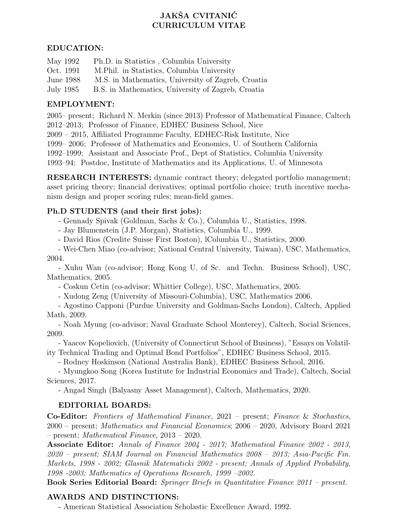# JAKŠA CVITANIĆ CURRICULUM VITAE

### EDUCATION:

| May 1992  | Ph.D. in Statistics, Columbia University           |
|-----------|----------------------------------------------------|
| Oct. 1991 | M. Phil. in Statistics, Columbia University        |
| June 1988 | M.S. in Mathematics, University of Zagreb, Croatia |
| July 1985 | B.S. in Mathematics, University of Zagreb, Croatia |

### EMPLOYMENT:

2005– present; Richard N. Merkin (since 2013) Professor of Mathematical Finance, Caltech 2012–2013; Professor of Finance, EDHEC Business School, Nice 2009 – 2015, Affiliated Programme Faculty, EDHEC-Risk Institute, Nice 1999– 2006; Professor of Mathematics and Economics, U. of Southern California 1992–1999; Assistant and Associate Prof., Dept of Statistics, Columbia University 1993–94; Postdoc, Institute of Mathematics and its Applications, U. of Minnesota

RESEARCH INTERESTS: dynamic contract theory; delegated portfolio management; asset pricing theory; financial derivatives; optimal portfolio choice; truth incentive mechanism design and proper scoring rules; mean-field games.

#### Ph.D STUDENTS (and their first jobs):

- Gennady Spivak (Goldman, Sachs & Co.), Columbia U., Statistics, 1998.

- Jay Blumenstein (J.P. Morgan), Statistics, Columbia U., 1999.

- David Rios (Credite Suisse First Boston), lColumbia U., Statistics, 2000.

- Wei-Chen Miao (co-advisor; National Central University, Taiwan), USC, Mathematics, 2004.

- Xuhu Wan (co-advisor; Hong Kong U. of Sc. and Techn. Business School), USC, Mathematics, 2005.

- Coskun Cetin (co-advisor; Whittier College), USC, Mathematics, 2005.

- Xudong Zeng (University of Missouri-Columbia), USC, Mathematics 2006.

- Agostino Capponi (Purdue University and Goldman-Sachs London), Caltech, Applied Math, 2009.

- Noah Myung (co-advisor; Naval Graduate School Monterey), Caltech, Social Sciences, 2009.

- Yaacov Kopeliovich, (University of Connecticut School of Business), "Essays on Volatility Technical Trading and Optimal Bond Portfolios", EDHEC Business School, 2015.

- Rodney Hoskinson (National Australia Bank), EDHEC Business School, 2016.

- Myungkoo Song (Korea Institute for Industrial Economics and Trade), Caltech, Social Sciences, 2017.

- Angad Singh (Balyasny Asset Management), Caltech, Mathematics, 2020.

### EDITORIAL BOARDS:

Co-Editor: Frontiers of Mathematical Finance, 2021 – present; Finance & Stochastics, 2000 – present; Mathematics and Financial Economics; 2006 – 2020, Advisory Board 2021 – present; Mathematical Finance, 2013 – 2020.

Associate Editor: Annals of Finance 2004 - 2017; Mathematical Finance 2002 - 2013, 2020 – present; SIAM Journal on Financial Mathematics 2008 – 2013; Asia-Pacific Fin. Markets, 1998 - 2002; Glasnik Matematicki 2002 - present; Annals of Applied Probability, 1998 -2003; Mathematics of Operations Research, 1999 –2002.

Book Series Editorial Board: Springer Briefs in Quantitative Finance 2011 – present.

### AWARDS AND DISTINCTIONS:

- American Statistical Association Scholastic Excellence Award, 1992.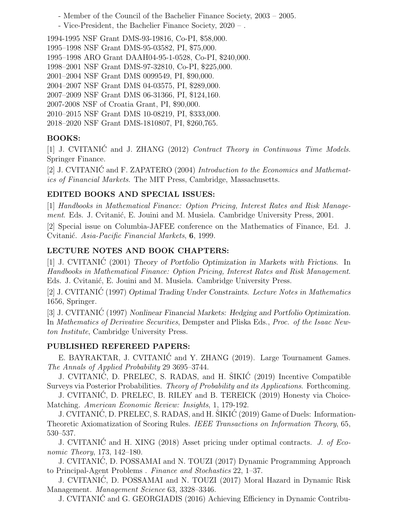- Member of the Council of the Bachelier Finance Society, 2003 – 2005.

- Vice-President, the Bachelier Finance Society, 2020 – .

1994-1995 NSF Grant DMS-93-19816, Co-PI, \$58,000.

- 1995–1998 NSF Grant DMS-95-03582, PI, \$75,000.
- 1995–1998 ARO Grant DAAH04-95-1-0528, Co-PI, \$240,000.
- 1998–2001 NSF Grant DMS-97-32810, Co-PI, \$225,000.
- 2001–2004 NSF Grant DMS 0099549, PI, \$90,000.
- 2004–2007 NSF Grant DMS 04-03575, PI, \$289,000.
- 2007–2009 NSF Grant DMS 06-31366, PI, \$124,160.
- 2007-2008 NSF of Croatia Grant, PI, \$90,000.
- 2010–2015 NSF Grant DMS 10-08219, PI, \$333,000.
- 2018–2020 NSF Grant DMS-1810807, PI, \$260,765.

# BOOKS:

[1] J. CVITANIC and J. ZHANG (2012) Contract Theory in Continuous Time Models. Springer Finance.

[2] J. CVITANIC and F. ZAPATERO  $(2004)$  Introduction to the Economics and Mathematics of Financial Markets. The MIT Press, Cambridge, Massachusetts.

# EDITED BOOKS AND SPECIAL ISSUES:

[1] Handbooks in Mathematical Finance: Option Pricing, Interest Rates and Risk Management. Eds. J. Cvitanić, E. Jouini and M. Musiela. Cambridge University Press, 2001.

[2] Special issue on Columbia-JAFEE conference on the Mathematics of Finance, Ed. J. Cvitanić. Asia-Pacific Financial Markets, 6, 1999.

# LECTURE NOTES AND BOOK CHAPTERS:

[1] J. CVITANIC (2001) Theory of Portfolio Optimization in Markets with Frictions. In Handbooks in Mathematical Finance: Option Pricing, Interest Rates and Risk Management. Eds. J. Cvitanić, E. Jouini and M. Musiela. Cambridge University Press.

[2] J. CVITANIC (1997) Optimal Trading Under Constraints. Lecture Notes in Mathematics 1656, Springer.

[3] J. CVITANIC (1997) Nonlinear Financial Markets: Hedging and Portfolio Optimization. In Mathematics of Derivative Securities, Dempster and Pliska Eds., Proc. of the Isaac Newton Institute, Cambridge University Press.

### PUBLISHED REFEREED PAPERS:

E. BAYRAKTAR, J. CVITANIĆ and Y. ZHANG (2019). Large Tournament Games. The Annals of Applied Probability 29 3695–3744.

J. CVITANIĆ, D. PRELEC, S. RADAS, and H. ŠIKIĆ (2019) Incentive Compatible Surveys via Posterior Probabilities. Theory of Probability and its Applications. Forthcoming.

J. CVITANIC, D. PRELEC, B. RILEY and B. TEREICK (2019) Honesty via Choice- ´ Matching. American Economic Review: Insights, 1, 179-192.

J. CVITANIĆ, D. PRELEC, S. RADAS, and H. ŠIKIĆ (2019) Game of Duels: Information-Theoretic Axiomatization of Scoring Rules. IEEE Transactions on Information Theory, 65, 530–537.

J. CVITANIC and H. XING (2018) Asset pricing under optimal contracts. J. of Economic Theory, 173, 142–180.

J. CVITANIC, D. POSSAMAI and N. TOUZI (2017) Dynamic Programming Approach ´ to Principal-Agent Problems . Finance and Stochastics 22, 1–37.

J. CVITANIC, D. POSSAMAI and N. TOUZI (2017) Moral Hazard in Dynamic Risk ´ Management. Management Science 63, 3328–3346.

J. CVITANIC and G. GEORGIADIS (2016) Achieving Efficiency in Dynamic Contribu- ´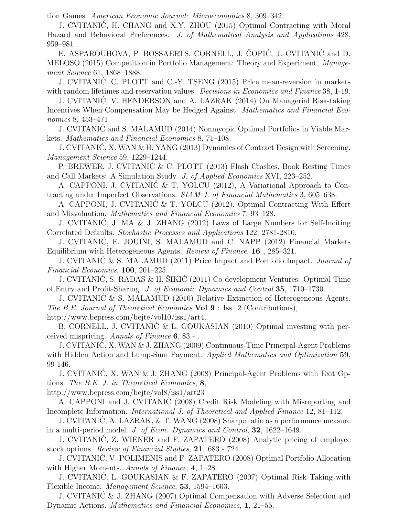tion Games. American Economic Journal: Microeconomics 8, 309–342.

J. CVITANIC, H. CHANG and X.Y. ZHOU (2015) Optimal Contracting with Moral ´ Hazard and Behavioral Preferences. J. of Mathematical Analysis and Applications 428, 959–981 .

E. ASPAROUHOVA, P. BOSSAERTS, CORNELL, J. COPIC, J. CVITANIC and D. MELOSO (2015) Competition in Portfolio Management: Theory and Experiment. Management Science 61, 1868–1888.

J. CVITANIC, C. PLOTT and C.-Y. TSENG (2015) Price mean-reversion in markets ´ with random lifetimes and reservation values. *Decisions in Economics and Finance* 38, 1-19.

J. CVITANIC, V. HENDERSON and A. LAZRAK (2014) On Managerial Risk-taking ´ Incentives When Compensation May be Hedged Against. Mathematics and Financial Economics 8, 453–471.

J. CVITANIC and S. MALAMUD (2014) Nonmyopic Optimal Portfolios in Viable Mar- ´ kets. Mathematics and Financial Economics 8, 71–108.

J. CVITANIC, X. WAN & H. YANG (2013) Dynamics of Contract Design with Screening. ´ Management Science 59, 1229–1244.

P. BREWER, J. CVITANIC & C. PLOTT (2013) Flash Crashes, Book Resting Times and Call Markets: A Simulation Study. J. of Applied Economics XVI, 223–252.

A. CAPPONI, J. CVITANIĆ & T. YOLCU (2012), A Variational Approach to Contracting under Imperfect Observations. SIAM J. of Financial Mathematics 3, 605–638.

A. CAPPONI, J. CVITANIĆ & T. YOLCU (2012), Optimal Contracting With Effort and Misvaluation. Mathematics and Financial Economics 7, 93–128.

J. CVITANIC, J. MA & J. ZHANG (2012) Laws of Large Numbers for Self-Inciting ´ Correlated Defaults. Stochastic Processes and Applications 122, 2781-2810.

J. CVITANIC, E. JOUINI, S. MALAMUD and C. NAPP (2012) Financial Markets ´ Equilibrium with Heterogeneous Agents. Review of Finance, 16 , 285–321.

J. CVITANIC & S. MALAMUD (2011) Price Impact and Portfolio Impact. Journal of Financial Economics, 100, 201–225.

J. CVITANIĆ, S. RADAS & H. ŠIKIĆ (2011) Co-development Ventures: Optimal Time of Entry and Profit-Sharing. J. of Economic Dynamics and Control 35, 1710–1730.

J. CVITANIC & S. MALAMUD (2010) Relative Extinction of Heterogeneous Agents. ´ The B.E. Journal of Theoretical Economics **Vol 9** : Iss. 2 (Contributions), http://www.bepress.com/bejte/vol10/iss1/art4.

B. CORNELL, J. CVITANIC & L. GOUKASIAN  $(2010)$  Optimal investing with perceived mispricing. Annals of Finance 6, 83 - .

J. CVITANIC, X. WAN & J. ZHANG (2009) Continuous-Time Principal-Agent Problems ´ with Hidden Action and Lump-Sum Payment. Applied Mathematics and Optimization 59, 99-146.

J. CVITANIC, X. WAN & J. ZHANG (2008) Principal-Agent Problems with Exit Op- ´ tions. The B.E. J. in Theoretical Economics, 8,

http://www.bepress.com/bejte/vol8/iss1/art23

A. CAPPONI and J. CVITANIC (2008) Credit Risk Modeling with Misreporting and ´ Incomplete Information. International J. of Theoretical and Applied Finance 12, 81–112.

J. CVITANIC, A. LAZRAK, & T. WANG (2008) Sharpe ratio as a performance measure ´ in a multi-period model. J. of Econ. Dynamics and Control, 32, 1622–1649.

J. CVITANIC, Z. WIENER and F. ZAPATERO (2008) Analytic pricing of employee ´ stock options. Review of Financial Studies, 21. 683 - 724.

J. CVITANIC, V. POLIMENIS and F. ZAPATERO (2008) Optimal Portfolio Allocation ´ with Higher Moments. Annals of Finance, 4, 1–28.

J. CVITANIC, L. GOUKASIAN & F. ZAPATERO (2007) Optimal Risk Taking with ´ Flexible Income. Management Science, 53, 1594–1603.

J. CVITANIC & J. ZHANG (2007) Optimal Compensation with Adverse Selection and ´ Dynamic Actions. Mathematics and Financial Economics, 1, 21–55.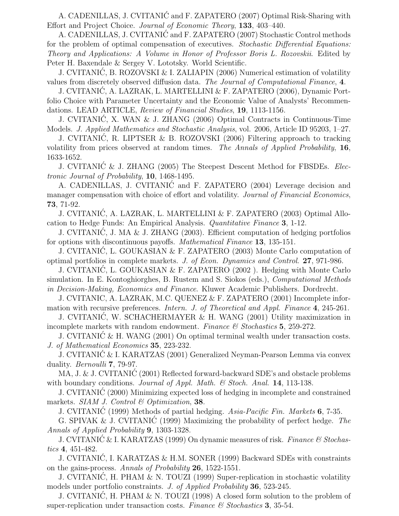A. CADENILLAS, J. CVITANIC and F. ZAPATERO (2007) Optimal Risk-Sharing with ´ Effort and Project Choice. Journal of Economic Theory, 133, 403–440.

A. CADENILLAS, J. CVITANIC and F. ZAPATERO (2007) Stochastic Control methods ´ for the problem of optimal compensation of executives. Stochastic Differential Equations: Theory and Applications: A Volume in Honor of Professor Boris L. Rozovskii. Edited by Peter H. Baxendale & Sergey V. Lototsky. World Scientific.

J. CVITANIC, B. ROZOVSKI & I. ZALIAPIN (2006) Numerical estimation of volatility ´ values from discretely observed diffusion data. The Journal of Computational Finance, 4.

J. CVITANIC, A. LAZRAK, L. MARTELLINI & F. ZAPATERO (2006), Dynamic Port- ´ folio Choice with Parameter Uncertainty and the Economic Value of Analysts' Recommendations. LEAD ARTICLE, Review of Financial Studies, 19, 1113-1156.

J. CVITANIC, X. WAN & J. ZHANG (2006) Optimal Contracts in Continuous-Time ´ Models. J. Applied Mathematics and Stochastic Analysis, vol. 2006, Article ID 95203, 1–27.

J. CVITANIC, R. LIPTSER & B. ROZOVSKI (2006) Filtering approach to tracking ´ volatility from prices observed at random times. The Annals of Applied Probability, 16, 1633-1652.

J. CVITANI $\acute{C}$  & J. ZHANG (2005) The Steepest Descent Method for FBSDEs. *Elec*tronic Journal of Probability, 10, 1468-1495.

A. CADENILLAS, J. CVITANIC and F. ZAPATERO (2004) Leverage decision and manager compensation with choice of effort and volatility. Journal of Financial Economics, 73, 71-92.

J. CVITANIC, A. LAZRAK, L. MARTELLINI & F. ZAPATERO (2003) Optimal Allo- ´ cation to Hedge Funds: An Empirical Analysis. Quantitative Finance 3, 1-12.

J. CVITANIC, J. MA & J. ZHANG (2003). Efficient computation of hedging portfolios ´ for options with discontinuous payoffs. Mathematical Finance 13, 135-151.

J. CVITANIC, L. GOUKASIAN & F. ZAPATERO (2003) Monte Carlo computation of ´ optimal portfolios in complete markets. J. of Econ. Dynamics and Control. 27, 971-986.

J. CVITANIC, L. GOUKASIAN & F. ZAPATERO (2002 ). Hedging with Monte Carlo ´ simulation. In E. Kontoghiorghes, B. Rustem and S. Siokos (eds.), Computational Methods in Decision-Making, Economics and Finance. Kluwer Academic Publishers. Dordrecht.

J. CVITANIC, A. LAZRAK, M.C. QUENEZ & F. ZAPATERO (2001) Incomplete information with recursive preferences. Intern. J. of Theoretical and Appl. Finance 4, 245-261.

J. CVITANIC, W. SCHACHERMAYER & H. WANG (2001) Utility maximization in ´ incomplete markets with random endowment. Finance  $\mathcal C$  Stochastics 5, 259-272.

J. CVITANIĆ  $&$  H. WANG (2001) On optimal terminal wealth under transaction costs. J. of Mathematical Economics 35, 223-232.

J. CVITANIC & I. KARATZAS (2001) Generalized Neyman-Pearson Lemma via convex ´ duality. *Bernoulli* **7**, 79-97.

MA, J. & J. CVITANI $\acute{C}$  (2001) Reflected forward-backward SDE's and obstacle problems with boundary conditions. Journal of Appl. Math. & Stoch. Anal. 14, 113-138.

J. CVITANIC (2000) Minimizing expected loss of hedging in incomplete and constrained ´ markets. SIAM J. Control  $\mathcal C$  Optimization, 38.

J. CVITANIC (1999) Methods of partial hedging. Asia-Pacific Fin. Markets 6, 7-35.

G. SPIVAK & J. CVITANIC (1999) Maximizing the probability of perfect hedge. The Annals of Applied Probability 9, 1303-1328.

J. CVITANIC & I. KARATZAS (1999) On dynamic measures of risk. Finance  $\mathcal C$  Stochastics 4, 451-482.

J. CVITANIC, I. KARATZAS & H.M. SONER (1999) Backward SDEs with constraints ´ on the gains-process. Annals of Probability 26, 1522-1551.

J. CVITANIC, H. PHAM & N. TOUZI (1999) Super-replication in stochastic volatility ´ models under portfolio constraints. J. of Applied Probability 36, 523-245.

J. CVITANIC, H. PHAM & N. TOUZI (1998) A closed form solution to the problem of ´ super-replication under transaction costs. Finance  $\mathcal C$  Stochastics 3, 35-54.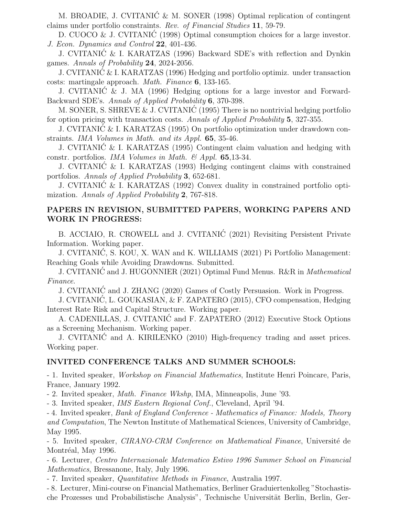M. BROADIE, J. CVITANIĆ & M. SONER (1998) Optimal replication of contingent claims under portfolio constraints. Rev. of Financial Studies 11, 59-79.

D. CUOCO & J. CVITANIC (1998) Optimal consumption choices for a large investor. J. Econ. Dynamics and Control 22, 401-436.

J. CVITANIC & I. KARATZAS (1996) Backward SDE's with reflection and Dynkin ´ games. Annals of Probability 24, 2024-2056.

J. CVITANIC & I. KARATZAS (1996) Hedging and portfolio optimiz. under transaction ´ costs: martingale approach. Math. Finance 6, 133-165.

J. CVITANIC & J. MA (1996) Hedging options for a large investor and Forward- ´ Backward SDE's. Annals of Applied Probability 6, 370-398.

M. SONER, S. SHREVE & J. CVITANIC (1995) There is no nontrivial hedging portfolio ´ for option pricing with transaction costs. Annals of Applied Probability 5, 327-355.

J. CVITANIC & I. KARATZAS (1995) On portfolio optimization under drawdown con- ´ straints. IMA Volumes in Math. and its Appl. 65, 35-46.

J. CVITANIC & I. KARATZAS (1995) Contingent claim valuation and hedging with ´ constr. portfolios. IMA Volumes in Math. & Appl. 65,13-34.

J. CVITANIC & I. KARATZAS (1993) Hedging contingent claims with constrained ´ portfolios. Annals of Applied Probability 3, 652-681.

J. CVITANIC & I. KARATZAS (1992) Convex duality in constrained portfolio opti- ´ mization. Annals of Applied Probability 2, 767-818.

### PAPERS IN REVISION, SUBMITTED PAPERS, WORKING PAPERS AND WORK IN PROGRESS:

B. ACCIAIO, R. CROWELL and J. CVITANIĆ (2021) Revisiting Persistent Private Information. Working paper.

J. CVITANIC, S. KOU, X. WAN and K. WILLIAMS (2021) Pi Portfolio Management: ´ Reaching Goals while Avoiding Drawdowns. Submitted.

J. CVITANIC and J. HUGONNIER (2021) Optimal Fund Menus. R&R in *Mathematical* Finance.

J. CVITANIC and J. ZHANG (2020) Games of Costly Persuasion. Work in Progress. ´

J. CVITANIC, L. GOUKASIAN, & F. ZAPATERO (2015), CFO compensation, Hedging ´ Interest Rate Risk and Capital Structure. Working paper.

A. CADENILLAS, J. CVITANIC and F. ZAPATERO (2012) Executive Stock Options ´ as a Screening Mechanism. Working paper.

J. CVITANIC and A. KIRILENKO (2010) High-frequency trading and asset prices. ´ Working paper.

#### INVITED CONFERENCE TALKS AND SUMMER SCHOOLS:

- 1. Invited speaker, Workshop on Financial Mathematics, Institute Henri Poincare, Paris, France, January 1992.

- 2. Invited speaker, Math. Finance Wkshp, IMA, Minneapolis, June '93.

- 3. Invited speaker, IMS Eastern Regional Conf., Cleveland, April '94.

- 4. Invited speaker, Bank of England Conference - Mathematics of Finance: Models, Theory and Computation, The Newton Institute of Mathematical Sciences, University of Cambridge, May 1995.

- 5. Invited speaker, *CIRANO-CRM Conference on Mathematical Finance*, Université de Montréal, May 1996.

- 6. Lecturer, Centro Internazionale Matematico Estivo 1996 Summer School on Financial Mathematics, Bressanone, Italy, July 1996.

- 7. Invited speaker, Quantitative Methods in Finance, Australia 1997.

- 8. Lecturer, Mini-course on Financial Mathematics, Berliner Graduiertenkolleg "Stochastische Prozesses und Probabilistische Analysis", Technische Universität Berlin, Berlin, Ger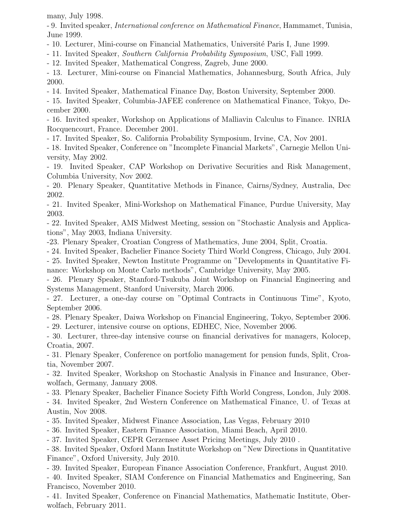many, July 1998.

- 9. Invited speaker, International conference on Mathematical Finance, Hammamet, Tunisia, June 1999.

- 10. Lecturer, Mini-course on Financial Mathematics, Universit´e Paris I, June 1999.

- 11. Invited Speaker, Southern California Probability Symposium, USC, Fall 1999.

- 12. Invited Speaker, Mathematical Congress, Zagreb, June 2000.

- 13. Lecturer, Mini-course on Financial Mathematics, Johannesburg, South Africa, July 2000.

- 14. Invited Speaker, Mathematical Finance Day, Boston University, September 2000.

- 15. Invited Speaker, Columbia-JAFEE conference on Mathematical Finance, Tokyo, December 2000.

- 16. Invited speaker, Workshop on Applications of Malliavin Calculus to Finance. INRIA Rocquencourt, France. December 2001.

- 17. Invited Speaker, So. California Probability Symposium, Irvine, CA, Nov 2001.

- 18. Invited Speaker, Conference on "Incomplete Financial Markets", Carnegie Mellon University, May 2002.

- 19. Invited Speaker, CAP Workshop on Derivative Securities and Risk Management, Columbia University, Nov 2002.

- 20. Plenary Speaker, Quantitative Methods in Finance, Cairns/Sydney, Australia, Dec 2002.

- 21. Invited Speaker, Mini-Workshop on Mathematical Finance, Purdue University, May 2003.

- 22. Invited Speaker, AMS Midwest Meeting, session on "Stochastic Analysis and Applications", May 2003, Indiana University.

-23. Plenary Speaker, Croatian Congress of Mathematics, June 2004, Split, Croatia.

- 24. Invited Speaker, Bachelier Finance Society Third World Congress, Chicago, July 2004.

- 25. Invited Speaker, Newton Institute Programme on "Developments in Quantitative Finance: Workshop on Monte Carlo methods", Cambridge University, May 2005.

- 26. Plenary Speaker, Stanford-Tsukuba Joint Workshop on Financial Engineering and Systems Management, Stanford University, March 2006.

- 27. Lecturer, a one-day course on "Optimal Contracts in Continuous Time", Kyoto, September 2006.

- 28. Plenary Speaker, Daiwa Workshop on Financial Engineering, Tokyo, September 2006.

- 29. Lecturer, intensive course on options, EDHEC, Nice, November 2006.

- 30. Lecturer, three-day intensive course on financial derivatives for managers, Kolocep, Croatia, 2007.

- 31. Plenary Speaker, Conference on portfolio management for pension funds, Split, Croatia, November 2007.

- 32. Invited Speaker, Workshop on Stochastic Analysis in Finance and Insurance, Oberwolfach, Germany, January 2008.

- 33. Plenary Speaker, Bachelier Finance Society Fifth World Congress, London, July 2008.

- 34. Invited Speaker, 2nd Western Conference on Mathematical Finance, U. of Texas at Austin, Nov 2008.

- 35. Invited Speaker, Midwest Finance Association, Las Vegas, February 2010

- 36. Invited Speaker, Eastern Finance Association, Miami Beach, April 2010.

- 37. Invited Speaker, CEPR Gerzensee Asset Pricing Meetings, July 2010 .

- 38. Invited Speaker, Oxford Mann Institute Workshop on "New Directions in Quantitative Finance", Oxford University, July 2010.

- 39. Invited Speaker, European Finance Association Conference, Frankfurt, August 2010.

- 40. Invited Speaker, SIAM Conference on Financial Mathematics and Engineering, San Francisco, November 2010.

- 41. Invited Speaker, Conference on Financial Mathematics, Mathematic Institute, Oberwolfach, February 2011.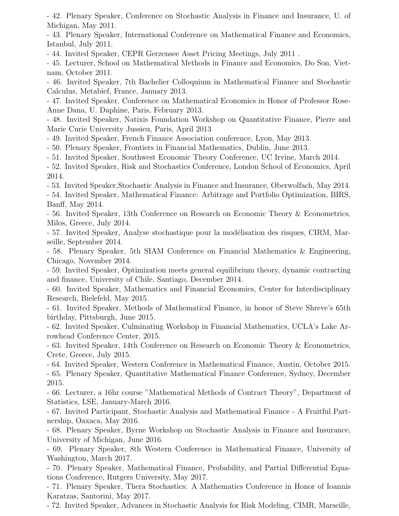- 42. Plenary Speaker, Conference on Stochastic Analysis in Finance and Insurance, U. of Michigan, May 2011.

- 43. Plenary Speaker, International Conference on Mathematical Finance and Economics, Istanbul, July 2011.

- 44. Invited Speaker, CEPR Gerzensee Asset Pricing Meetings, July 2011 .

- 45. Lecturer, School on Mathematical Methods in Finance and Economics, Do Son, Vietnam, October 2011.

- 46. Invited Speaker, 7th Bachelier Colloquium in Mathematical Finance and Stochastic Calculus, Metabief, France, January 2013.

- 47. Invited Speaker, Conference on Mathematical Economics in Honor of Professor Rose-Anne Dana, U. Daphine, Paris, February 2013.

- 48. Invited Speaker, Natixis Foundation Workshop on Quantitative Finance, Pierre and Marie Curie University Jussieu, Paris, April 2013

- 49. Invited Speaker, French Finance Association conference, Lyon, May 2013.

- 50. Plenary Speaker, Frontiers in Financial Mathematics, Dublin, June 2013.

- 51. Invited Speaker, Southwest Economic Theory Conference, UC Irvine, March 2014.

- 52. Invited Speaker, Risk and Stochastics Conference, London School of Economics, April 2014.

- 53. Invited Speaker,Stochastic Analysis in Finance and Insurance, Oberwolfach, May 2014. - 54. Invited Speaker, Mathematical Finance: Arbitrage and Portfolio Optimization, BIRS, Banff, May 2014.

- 56. Invited Speaker, 13th Conference on Research on Economic Theory & Econometrics, Milos, Greece, July 2014.

- 57. Invited Speaker, Analyse stochastique pour la modélisation des risques, CIRM, Marseille, September 2014.

- 58. Plenary Speaker, 5th SIAM Conference on Financial Mathematics & Engineering, Chicago, November 2014.

- 59. Invited Speaker, Optimization meets general equilibrium theory, dynamic contracting and finance, University of Chile, Santiago, December 2014.

- 60. Invited Speaker, Mathematics and Financial Economics, Center for Interdisciplinary Research, Bielefeld, May 2015.

- 61. Invited Speaker, Methods of Mathematical Finance, in honor of Steve Shreve's 65th birthday, Pittsburgh, June 2015.

- 62. Invited Speaker, Culminating Workshop in Financial Mathematics, UCLA's Lake Arrowhead Conference Center, 2015.

- 63. Invited Speaker, 14th Conference on Research on Economic Theory & Econometrics, Crete, Greece, July 2015.

- 64. Invited Speaker, Western Conference in Mathematical Finance, Austin, October 2015.

- 65. Plenary Speaker, Quantitative Mathematical Finance Conference, Sydney, December 2015.

- 66. Lecturer, a 16hr course "Mathematical Methods of Contract Theory", Department of Statistics, LSE, January-March 2016.

- 67. Invited Participant, Stochastic Analysis and Mathematical Finance - A Fruitful Partnership, Oaxaca, May 2016.

- 68. Plenary Speaker, Byrne Workshop on Stochastic Analysis in Finance and Insurance, University of Michigan, June 2016.

- 69. Plenary Speaker, 8th Western Conference in Mathematical Finance, University of Washington, March 2017.

- 70. Plenary Speaker, Mathematical Finance, Probability, and Partial Differential Equations Conference, Rutgers University, May 2017.

- 71. Plenary Speaker, Thera Stochastics: A Mathematics Conference in Honor of Ioannis Karatzas, Santorini, May 2017.

- 72. Invited Speaker, Advances in Stochastic Analysis for Risk Modeling, CIMR, Marseille,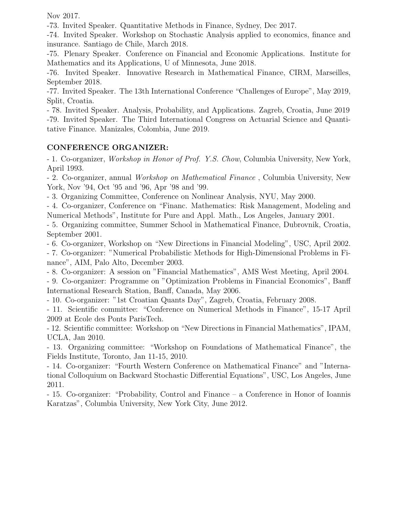Nov 2017.

-73. Invited Speaker. Quantitative Methods in Finance, Sydney, Dec 2017.

-74. Invited Speaker. Workshop on Stochastic Analysis applied to economics, finance and insurance. Santiago de Chile, March 2018.

-75. Plenary Speaker. Conference on Financial and Economic Applications. Institute for Mathematics and its Applications, U of Minnesota, June 2018.

-76. Invited Speaker. Innovative Research in Mathematical Finance, CIRM, Marseilles, September 2018.

-77. Invited Speaker. The 13th International Conference "Challenges of Europe", May 2019, Split, Croatia.

- 78. Invited Speaker. Analysis, Probability, and Applications. Zagreb, Croatia, June 2019 -79. Invited Speaker. The Third International Congress on Actuarial Science and Quantitative Finance. Manizales, Colombia, June 2019.

### CONFERENCE ORGANIZER:

- 1. Co-organizer, Workshop in Honor of Prof. Y.S. Chow, Columbia University, New York, April 1993.

- 2. Co-organizer, annual Workshop on Mathematical Finance , Columbia University, New York, Nov '94, Oct '95 and '96, Apr '98 and '99.

- 3. Organizing Committee, Conference on Nonlinear Analysis, NYU, May 2000.

- 4. Co-organizer, Conference on "Financ. Mathematics: Risk Management, Modeling and Numerical Methods", Institute for Pure and Appl. Math., Los Angeles, January 2001.

- 5. Organizing committee, Summer School in Mathematical Finance, Dubrovnik, Croatia, September 2001.

- 6. Co-organizer, Workshop on "New Directions in Financial Modeling", USC, April 2002.

- 7. Co-organizer: "Numerical Probabilistic Methods for High-Dimensional Problems in Finance", AIM, Palo Alto, December 2003.

- 8. Co-organizer: A session on "Financial Mathematics", AMS West Meeting, April 2004.

- 9. Co-organizer: Programme on "Optimization Problems in Financial Economics", Banff International Research Station, Banff, Canada, May 2006.

- 10. Co-organizer: "1st Croatian Quants Day", Zagreb, Croatia, February 2008.

- 11. Scientific committee: "Conference on Numerical Methods in Finance", 15-17 April 2009 at Ecole des Ponts ParisTech.

- 12. Scientific committee: Workshop on "New Directions in Financial Mathematics", IPAM, UCLA, Jan 2010.

- 13. Organizing committee: "Workshop on Foundations of Mathematical Finance", the Fields Institute, Toronto, Jan 11-15, 2010.

- 14. Co-organizer: "Fourth Western Conference on Mathematical Finance" and "International Colloquium on Backward Stochastic Differential Equations", USC, Los Angeles, June 2011.

- 15. Co-organizer: "Probability, Control and Finance – a Conference in Honor of Ioannis Karatzas", Columbia University, New York City, June 2012.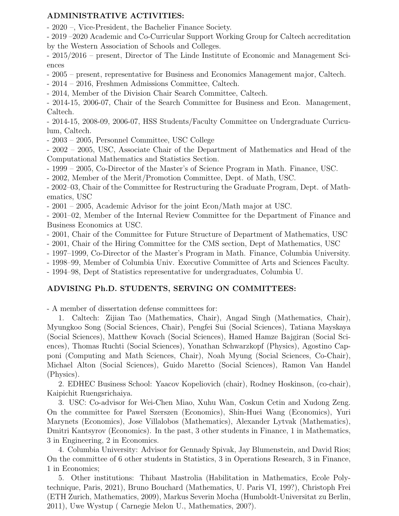### ADMINISTRATIVE ACTIVITIES:

- 2020 –, Vice-President, the Bachelier Finance Society.

- 2019 –2020 Academic and Co-Curricular Support Working Group for Caltech accreditation by the Western Association of Schools and Colleges.

- 2015/2016 – present, Director of The Linde Institute of Economic and Management Sciences

- 2005 – present, representative for Business and Economics Management major, Caltech.

- 2014 – 2016, Freshmen Admissions Committee, Caltech.

- 2014, Member of the Division Chair Search Committee, Caltech.

- 2014-15, 2006-07, Chair of the Search Committee for Business and Econ. Management, Caltech.

- 2014-15, 2008-09, 2006-07, HSS Students/Faculty Committee on Undergraduate Curriculum, Caltech.

- 2003 – 2005, Personnel Committee, USC College

- 2002 – 2005, USC, Associate Chair of the Department of Mathematics and Head of the Computational Mathematics and Statistics Section.

- 1999 – 2005, Co-Director of the Master's of Science Program in Math. Finance, USC.

- 2002, Member of the Merit/Promotion Committee, Dept. of Math, USC.

- 2002–03, Chair of the Committee for Restructuring the Graduate Program, Dept. of Mathematics, USC

- 2001 – 2005, Academic Advisor for the joint Econ/Math major at USC.

- 2001–02, Member of the Internal Review Committee for the Department of Finance and Business Economics at USC.

- 2001, Chair of the Committee for Future Structure of Department of Mathematics, USC

- 2001, Chair of the Hiring Committee for the CMS section, Dept of Mathematics, USC

- 1997–1999, Co-Director of the Master's Program in Math. Finance, Columbia University.

- 1998–99, Member of Columbia Univ. Executive Committee of Arts and Sciences Faculty.

- 1994–98, Dept of Statistics representative for undergraduates, Columbia U.

#### ADVISING Ph.D. STUDENTS, SERVING ON COMMITTEES:

- A member of dissertation defense committees for:

1. Caltech: Zijian Tao (Mathematics, Chair), Angad Singh (Mathematics, Chair), Myungkoo Song (Social Sciences, Chair), Pengfei Sui (Social Sciences), Tatiana Mayskaya (Social Sciences), Matthew Kovach (Social Sciences), Hamed Hamze Bajgiran (Social Sciences), Thomas Ruchti (Social Sciences), Yonathan Schwarzkopf (Physics), Agostino Capponi (Computing and Math Sciences, Chair), Noah Myung (Social Sciences, Co-Chair), Michael Alton (Social Sciences), Guido Maretto (Social Sciences), Ramon Van Handel (Physics).

2. EDHEC Business School: Yaacov Kopeliovich (chair), Rodney Hoskinson, (co-chair), Kaipichit Ruengsrichaiya.

3. USC: Co-advisor for Wei-Chen Miao, Xuhu Wan, Coskun Cetin and Xudong Zeng. On the committee for Pawel Szerszen (Economics), Shin-Huei Wang (Economics), Yuri Marynets (Economics), Jose Villalobos (Mathematics), Alexander Lytvak (Mathematics), Dmitri Kantsyrov (Economics). In the past, 3 other students in Finance, 1 in Mathematics, 3 in Engineering, 2 in Economics.

4. Columbia University: Advisor for Gennady Spivak, Jay Blumenstein, and David Rios; On the committee of 6 other students in Statistics, 3 in Operations Research, 3 in Finance, 1 in Economics;

5. Other institutions: Thibaut Mastrolia (Habilitation in Mathematics, Ecole Polytechnique, Paris, 2021), Bruno Bouchard (Mathematics, U. Paris VI, 199?), Christoph Frei (ETH Zurich, Mathematics, 2009), Markus Severin Mocha (Humboldt-Universitat zu Berlin, 2011), Uwe Wystup ( Carnegie Melon U., Mathematics, 200?).